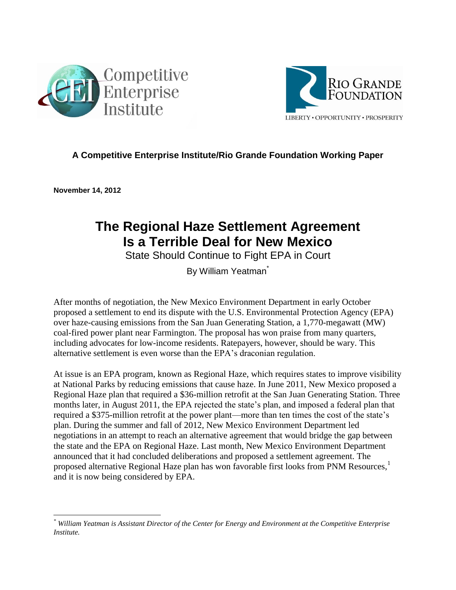



#### **A Competitive Enterprise Institute/Rio Grande Foundation Working Paper**

**November 14, 2012** 

## **The Regional Haze Settlement Agreement Is a Terrible Deal for New Mexico**

State Should Continue to Fight EPA in Court

By William Yeatman<sup>\*</sup>

After months of negotiation, the New Mexico Environment Department in early October proposed a settlement to end its dispute with the U.S. Environmental Protection Agency (EPA) over haze-causing emissions from the San Juan Generating Station, a 1,770-megawatt (MW) coal-fired power plant near Farmington. The proposal has won praise from many quarters, including advocates for low-income residents. Ratepayers, however, should be wary. This alternative settlement is even worse than the EPA's draconian regulation.

At issue is an EPA program, known as Regional Haze, which requires states to improve visibility at National Parks by reducing emissions that cause haze. In June 2011, New Mexico proposed a Regional Haze plan that required a \$36-million retrofit at the San Juan Generating Station. Three months later, in August 2011, the EPA rejected the state's plan, and imposed a federal plan that required a \$375-million retrofit at the power plant—more than ten times the cost of the state's plan. During the summer and fall of 2012, New Mexico Environment Department led negotiations in an attempt to reach an alternative agreement that would bridge the gap between the state and the EPA on Regional Haze. Last month, New Mexico Environment Department announced that it had concluded deliberations and proposed a settlement agreement. The proposed alternative Regional Haze plan has won favorable first looks from PNM Resources,<sup>1</sup> and it is now being considered by EPA.

 $\overline{\phantom{a}}$ *\* William Yeatman is Assistant Director of the Center for Energy and Environment at the Competitive Enterprise Institute.*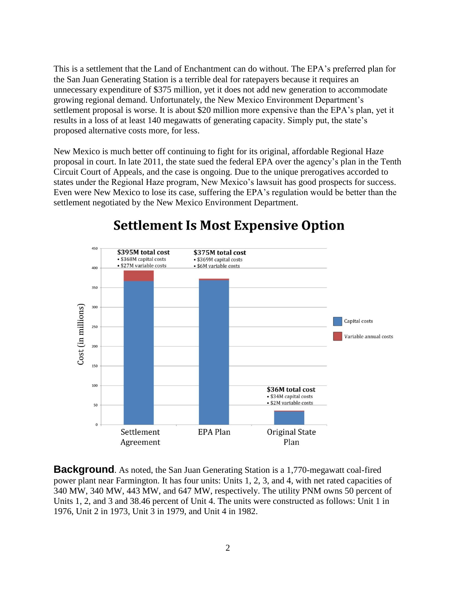This is a settlement that the Land of Enchantment can do without. The EPA's preferred plan for the San Juan Generating Station is a terrible deal for ratepayers because it requires an unnecessary expenditure of \$375 million, yet it does not add new generation to accommodate growing regional demand. Unfortunately, the New Mexico Environment Department's settlement proposal is worse. It is about \$20 million more expensive than the EPA's plan, yet it results in a loss of at least 140 megawatts of generating capacity. Simply put, the state's proposed alternative costs more, for less.

New Mexico is much better off continuing to fight for its original, affordable Regional Haze proposal in court. In late 2011, the state sued the federal EPA over the agency's plan in the Tenth Circuit Court of Appeals, and the case is ongoing. Due to the unique prerogatives accorded to states under the Regional Haze program, New Mexico's lawsuit has good prospects for success. Even were New Mexico to lose its case, suffering the EPA's regulation would be better than the settlement negotiated by the New Mexico Environment Department.



# **Settlement Is Most Expensive Option**

**Background**. As noted, the San Juan Generating Station is a 1,770-megawatt coal-fired power plant near Farmington. It has four units: Units 1, 2, 3, and 4, with net rated capacities of 340 MW, 340 MW, 443 MW, and 647 MW, respectively. The utility PNM owns 50 percent of Units 1, 2, and 3 and 38.46 percent of Unit 4. The units were constructed as follows: Unit 1 in 1976, Unit 2 in 1973, Unit 3 in 1979, and Unit 4 in 1982.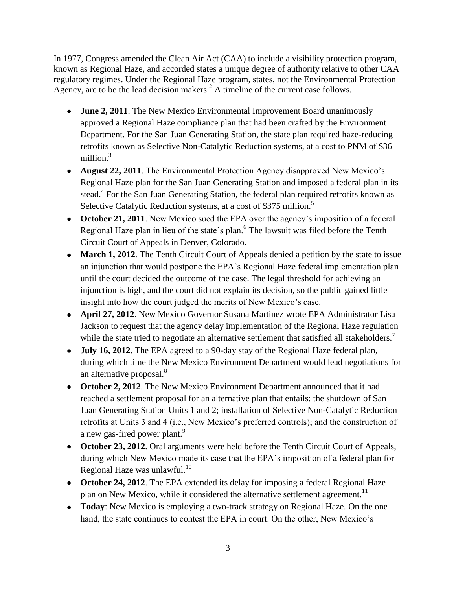In 1977, Congress amended the Clean Air Act (CAA) to include a visibility protection program, known as Regional Haze, and accorded states a unique degree of authority relative to other CAA regulatory regimes. Under the Regional Haze program, states, not the Environmental Protection Agency, are to be the lead decision makers.<sup>2</sup> A timeline of the current case follows.

- **June 2, 2011**. The New Mexico Environmental Improvement Board unanimously approved a Regional Haze compliance plan that had been crafted by the Environment Department. For the San Juan Generating Station, the state plan required haze-reducing retrofits known as Selective Non-Catalytic Reduction systems, at a cost to PNM of \$36 million $3$
- **August 22, 2011**. The Environmental Protection Agency disapproved New Mexico's Regional Haze plan for the San Juan Generating Station and imposed a federal plan in its stead.<sup>4</sup> For the San Juan Generating Station, the federal plan required retrofits known as Selective Catalytic Reduction systems, at a cost of \$375 million.<sup>5</sup>
- **October 21, 2011**. New Mexico sued the EPA over the agency's imposition of a federal Regional Haze plan in lieu of the state's plan.<sup>6</sup> The lawsuit was filed before the Tenth Circuit Court of Appeals in Denver, Colorado.
- March 1, 2012. The Tenth Circuit Court of Appeals denied a petition by the state to issue an injunction that would postpone the EPA's Regional Haze federal implementation plan until the court decided the outcome of the case. The legal threshold for achieving an injunction is high, and the court did not explain its decision, so the public gained little insight into how the court judged the merits of New Mexico's case.
- **April 27, 2012**. New Mexico Governor Susana Martinez wrote EPA Administrator Lisa Jackson to request that the agency delay implementation of the Regional Haze regulation while the state tried to negotiate an alternative settlement that satisfied all stakeholders.<sup>7</sup>
- **July 16, 2012**. The EPA agreed to a 90-day stay of the Regional Haze federal plan, during which time the New Mexico Environment Department would lead negotiations for an alternative proposal.<sup>8</sup>
- **October 2, 2012**. The New Mexico Environment Department announced that it had reached a settlement proposal for an alternative plan that entails: the shutdown of San Juan Generating Station Units 1 and 2; installation of Selective Non-Catalytic Reduction retrofits at Units 3 and 4 (i.e., New Mexico's preferred controls); and the construction of a new gas-fired power plant.<sup>9</sup>
- **October 23, 2012**. Oral arguments were held before the Tenth Circuit Court of Appeals, during which New Mexico made its case that the EPA's imposition of a federal plan for Regional Haze was unlawful. $^{10}$
- **October 24, 2012**. The EPA extended its delay for imposing a federal Regional Haze plan on New Mexico, while it considered the alternative settlement agreement.<sup>11</sup>
- **Today**: New Mexico is employing a two-track strategy on Regional Haze. On the one hand, the state continues to contest the EPA in court. On the other, New Mexico's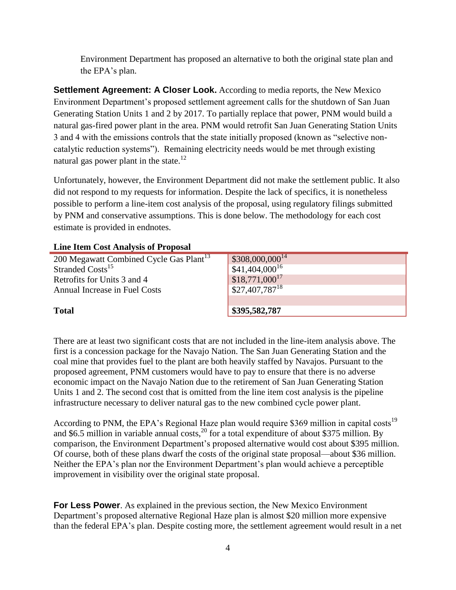Environment Department has proposed an alternative to both the original state plan and the EPA's plan.

**Settlement Agreement: A Closer Look.** According to media reports, the New Mexico Environment Department's proposed settlement agreement calls for the shutdown of San Juan Generating Station Units 1 and 2 by 2017. To partially replace that power, PNM would build a natural gas-fired power plant in the area. PNM would retrofit San Juan Generating Station Units 3 and 4 with the emissions controls that the state initially proposed (known as "selective noncatalytic reduction systems"). Remaining electricity needs would be met through existing natural gas power plant in the state.<sup>12</sup>

Unfortunately, however, the Environment Department did not make the settlement public. It also did not respond to my requests for information. Despite the lack of specifics, it is nonetheless possible to perform a line-item cost analysis of the proposal, using regulatory filings submitted by PNM and conservative assumptions. This is done below. The methodology for each cost estimate is provided in endnotes.

| <b>Line Item Cost Analysis of Proposal</b> |  |  |  |  |
|--------------------------------------------|--|--|--|--|
|--------------------------------------------|--|--|--|--|

| 200 Megawatt Combined Cycle Gas Plant <sup>13</sup> | $\frac{1}{2}$ \$308,000,000 <sup>14</sup> |
|-----------------------------------------------------|-------------------------------------------|
| Stranded Costs <sup>15</sup>                        | $\sqrt{$41,404,000^{16}}$                 |
| Retrofits for Units 3 and 4                         | $$18,771,000^{17}$                        |
| Annual Increase in Fuel Costs                       | $$27,407,787$ <sup>18</sup>               |
|                                                     |                                           |
| <b>Total</b>                                        | \$395,582,787                             |

There are at least two significant costs that are not included in the line-item analysis above. The first is a concession package for the Navajo Nation. The San Juan Generating Station and the coal mine that provides fuel to the plant are both heavily staffed by Navajos. Pursuant to the proposed agreement, PNM customers would have to pay to ensure that there is no adverse economic impact on the Navajo Nation due to the retirement of San Juan Generating Station Units 1 and 2. The second cost that is omitted from the line item cost analysis is the pipeline infrastructure necessary to deliver natural gas to the new combined cycle power plant.

According to PNM, the EPA's Regional Haze plan would require \$369 million in capital costs<sup>19</sup> and \$6.5 million in variable annual costs,<sup>20</sup> for a total expenditure of about \$375 million. By comparison, the Environment Department's proposed alternative would cost about \$395 million. Of course, both of these plans dwarf the costs of the original state proposal—about \$36 million. Neither the EPA's plan nor the Environment Department's plan would achieve a perceptible improvement in visibility over the original state proposal.

**For Less Power**. As explained in the previous section, the New Mexico Environment Department's proposed alternative Regional Haze plan is almost \$20 million more expensive than the federal EPA's plan. Despite costing more, the settlement agreement would result in a net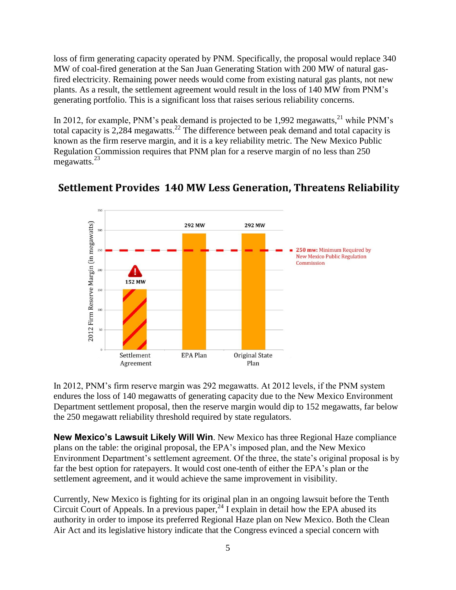loss of firm generating capacity operated by PNM. Specifically, the proposal would replace 340 MW of coal-fired generation at the San Juan Generating Station with 200 MW of natural gasfired electricity. Remaining power needs would come from existing natural gas plants, not new plants. As a result, the settlement agreement would result in the loss of 140 MW from PNM's generating portfolio. This is a significant loss that raises serious reliability concerns.

In 2012, for example, PNM's peak demand is projected to be  $1,992$  megawatts,<sup>21</sup> while PNM's total capacity is 2,284 megawatts.<sup>22</sup> The difference between peak demand and total capacity is known as the firm reserve margin, and it is a key reliability metric. The New Mexico Public Regulation Commission requires that PNM plan for a reserve margin of no less than 250 megawatts.<sup>23</sup>



### Settlement Provides 140 MW Less Generation, Threatens Reliability

In 2012, PNM's firm reserve margin was 292 megawatts. At 2012 levels, if the PNM system endures the loss of 140 megawatts of generating capacity due to the New Mexico Environment Department settlement proposal, then the reserve margin would dip to 152 megawatts, far below the 250 megawatt reliability threshold required by state regulators.

**New Mexico's Lawsuit Likely Will Win**. New Mexico has three Regional Haze compliance plans on the table: the original proposal, the EPA's imposed plan, and the New Mexico Environment Department's settlement agreement. Of the three, the state's original proposal is by far the best option for ratepayers. It would cost one-tenth of either the EPA's plan or the settlement agreement, and it would achieve the same improvement in visibility.

Currently, New Mexico is fighting for its original plan in an ongoing lawsuit before the Tenth Circuit Court of Appeals. In a previous paper,  $^{24}$  I explain in detail how the EPA abused its authority in order to impose its preferred Regional Haze plan on New Mexico. Both the Clean Air Act and its legislative history indicate that the Congress evinced a special concern with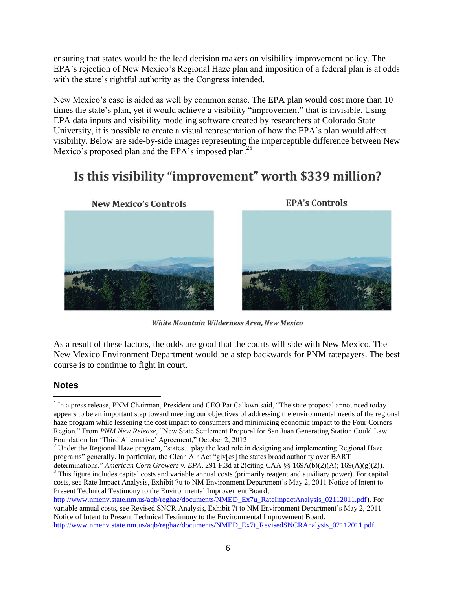ensuring that states would be the lead decision makers on visibility improvement policy. The EPA's rejection of New Mexico's Regional Haze plan and imposition of a federal plan is at odds with the state's rightful authority as the Congress intended.

New Mexico's case is aided as well by common sense. The EPA plan would cost more than 10 times the state's plan, yet it would achieve a visibility "improvement" that is invisible. Using EPA data inputs and visibility modeling software created by researchers at Colorado State University, it is possible to create a visual representation of how the EPA's plan would affect visibility. Below are side-by-side images representing the imperceptible difference between New Mexico's proposed plan and the EPA's imposed plan.<sup>25</sup>

## Is this visibility "improvement" worth \$339 million?



**EPA's Controls** 



**White Mountain Wilderness Area, New Mexico** 

As a result of these factors, the odds are good that the courts will side with New Mexico. The New Mexico Environment Department would be a step backwards for PNM ratepayers. The best course is to continue to fight in court.

#### **Notes**

 $\overline{a}$ 

determinations." *American Corn Growers v. EPA*, 291 F.3d at 2(citing CAA §§ 169A(b)(2)(A); 169(A)(g)(2)). <sup>3</sup> This figure includes capital costs and variable annual costs (primarily reagent and auxiliary power). For capital costs, see Rate Impact Analysis, Exhibit 7u to NM Environment Department's May 2, 2011 Notice of Intent to Present Technical Testimony to the Environmental Improvement Board,

<sup>&</sup>lt;sup>1</sup> In a press release, PNM Chairman, President and CEO Pat Callawn said, "The state proposal announced today appears to be an important step toward meeting our objectives of addressing the environmental needs of the regional haze program while lessening the cost impact to consumers and minimizing economic impact to the Four Corners Region." From *PNM New Release*, "New State Settlement Proporal for San Juan Generating Station Could Law Foundation for 'Third Alternative' Agreement," October 2, 2012

<sup>&</sup>lt;sup>2</sup> Under the Regional Haze program, "states...play the lead role in designing and implementing Regional Haze programs" generally. In particular, the Clean Air Act "giv[es] the states broad authority over BART

[http://www.nmenv.state.nm.us/aqb/reghaz/documents/NMED\\_Ex7u\\_RateImpactAnalysis\\_02112011.pdf\)](http://www.nmenv.state.nm.us/aqb/reghaz/documents/NMED_Ex7u_RateImpactAnalysis_02112011.pdf). For variable annual costs, see Revised SNCR Analysis, Exhibit 7t to NM Environment Department's May 2, 2011 Notice of Intent to Present Technical Testimony to the Environmental Improvement Board, [http://www.nmenv.state.nm.us/aqb/reghaz/documents/NMED\\_Ex7t\\_RevisedSNCRAnalysis\\_02112011.pdf.](http://www.nmenv.state.nm.us/aqb/reghaz/documents/NMED_Ex7t_RevisedSNCRAnalysis_02112011.pdf)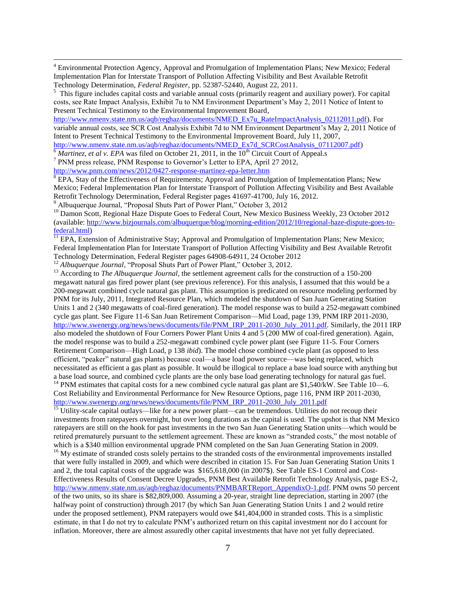<sup>4</sup> Environmental Protection Agency, Approval and Promulgation of Implementation Plans; New Mexico; Federal Implementation Plan for Interstate Transport of Pollution Affecting Visibility and Best Available Retrofit Technology Determination, *Federal Register*, pp. 52387-52440, August 22, 2011.

<sup>5</sup> This figure includes capital costs and variable annual costs (primarily reagent and auxiliary power). For capital costs, see Rate Impact Analysis, Exhibit 7u to NM Environment Department's May 2, 2011 Notice of Intent to Present Technical Testimony to the Environmental Improvement Board,

[http://www.nmenv.state.nm.us/aqb/reghaz/documents/NMED\\_Ex7u\\_RateImpactAnalysis\\_02112011.pdf\)](http://www.nmenv.state.nm.us/aqb/reghaz/documents/NMED_Ex7u_RateImpactAnalysis_02112011.pdf). For variable annual costs, see SCR Cost Analysis Exhibit 7d to NM Environment Department's May 2, 2011 Notice of Intent to Present Technical Testimony to the Environmental Improvement Board, July 11, 2007, [http://www.nmenv.state.nm.us/aqb/reghaz/documents/NMED\\_Ex7d\\_SCRCostAnalysis\\_07112007.pdf\)](http://www.nmenv.state.nm.us/aqb/reghaz/documents/NMED_Ex7d_SCRCostAnalysis_07112007.pdf)

 $\frac{6}{6}$ *Martinez, et al v. EPA* was filed on October 21, 2011, in the 10<sup>th</sup> Circuit Court of Appeal.s

<sup>7</sup> PNM press release, PNM Response to Governor's Letter to EPA, April 27 2012,

<http://www.pnm.com/news/2012/0427-response-martinez-epa-letter.htm>

 $\overline{\phantom{a}}$ 

<sup>8</sup> EPA, Stay of the Effectiveness of Requirements; Approval and Promulgation of Implementation Plans; New Mexico; Federal Implementation Plan for Interstate Transport of Pollution Affecting Visibility and Best Available Retrofit Technology Determination, Federal Register pages 41697-41700, July 16, 2012. <sup>9</sup> Albuquerque Journal, "Proposal Shuts Part of Power Plant," October 3, 2012

<sup>10</sup> Damon Scott, Regional Haze Dispute Goes to Federal Court, New Mexico Business Weekly, 23 October 2012

(available[: http://www.bizjournals.com/albuquerque/blog/morning-edition/2012/10/regional-haze-dispute-goes-to](http://www.bizjournals.com/albuquerque/blog/morning-edition/2012/10/regional-haze-dispute-goes-to-federal.html)[federal.html\)](http://www.bizjournals.com/albuquerque/blog/morning-edition/2012/10/regional-haze-dispute-goes-to-federal.html)

<sup>11</sup> EPA, Extension of Administrative Stay; Approval and Promulgation of Implementation Plans; New Mexico; Federal Implementation Plan for Interstate Transport of Pollution Affecting Visibility and Best Available Retrofit Technology Determination, Federal Register pages 64908-64911, 24 October 2012

<sup>12</sup> *Albuquerque Journal*, "Proposal Shuts Part of Power Plant," October 3, 2012.

<sup>13</sup> According to *The Albuquerque Journal*, the settlement agreement calls for the construction of a 150-200 megawatt natural gas fired power plant (see previous reference). For this analysis, I assumed that this would be a 200-megawatt combined cycle natural gas plant. This assumption is predicated on resource modeling performed by PNM for its July, 2011, Integrated Resource Plan, which modeled the shutdown of San Juan Generating Station Units 1 and 2 (340 megawatts of coal-fired generation). The model response was to build a 252-megawatt combined cycle gas plant. See Figure 11-6 San Juan Retirement Comparison—Mid Load, page 139, PNM IRP 2011-2030, [http://www.swenergy.org/news/news/documents/file/PNM\\_IRP\\_2011-2030\\_July\\_2011.pdf.](http://www.swenergy.org/news/news/documents/file/PNM_IRP_2011-2030_July_2011.pdf) Similarly, the 2011 IRP also modeled the shutdown of Four Corners Power Plant Units 4 and 5 (200 MW of coal-fired generation). Again, the model response was to build a 252-megawatt combined cycle power plant (see Figure 11-5. Four Corners Retirement Comparison—High Load, p 138 *ibid*). The model chose combined cycle plant (as opposed to less efficient, "peaker" natural gas plants) because coal—a base load power source—was being replaced, which necessitated as efficient a gas plant as possible. It would be illogical to replace a base load source with anything but a base load source, and combined cycle plants are the only base load generating technology for natural gas fuel. <sup>14</sup> PNM estimates that capital costs for a new combined cycle natural gas plant are \$1,540/kW. See Table 10—6. Cost Reliability and Environmental Performance for New Resource Options, page 116, PNM IRP 2011-2030,

[http://www.swenergy.org/news/news/documents/file/PNM\\_IRP\\_2011-2030\\_July\\_2011.pdf](http://www.swenergy.org/news/news/documents/file/PNM_IRP_2011-2030_July_2011.pdf)

 $\frac{15}{15}$  Utility-scale capital outlays—like for a new power plant—can be tremendous. Utilities do not recoup their investments from ratepayers overnight, but over long durations as the capital is used. The upshot is that NM Mexico ratepayers are still on the hook for past investments in the two San Juan Generating Station units—which would be retired prematurely pursuant to the settlement agreement. These are known as "stranded costs," the most notable of which is a \$340 million environmental upgrade PNM completed on the San Juan Generating Station in 2009.

<sup>16</sup> My estimate of stranded costs solely pertains to the stranded costs of the environmental improvements installed that were fully installed in 2009, and which were described in citation 15. For San Juan Generating Station Units 1 and 2, the total capital costs of the upgrade was \$165,618,000 (in 2007\$). See Table ES-1 Control and Cost-Effectiveness Results of Consent Decree Upgrades, PNM Best Available Retrofit Technology Analysis, page ES-2, [http://www.nmenv.state.nm.us/aqb/reghaz/documents/PNMBARTReport\\_AppendixO-1.pdf.](http://www.nmenv.state.nm.us/aqb/reghaz/documents/PNMBARTReport_AppendixO-1.pdf) PNM owns 50 percent of the two units, so its share is \$82,809,000. Assuming a 20-year, straight line depreciation, starting in 2007 (the halfway point of construction) through 2017 (by which San Juan Generating Station Units 1 and 2 would retire under the proposed settlement), PNM ratepayers would owe \$41,404,000 in stranded costs. This is a simplistic estimate, in that I do not try to calculate PNM's authorized return on this capital investment nor do I account for inflation. Moreover, there are almost assuredly other capital investments that have not yet fully depreciated.